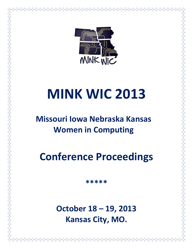

# **MINK WIC 2013**

# **Missouri Iowa Nebraska Kansas Women in Computing**

**Conference Proceedings**

**\*\*\*\*\***

**October 18 – 19, 2013 Kansas City, MO.**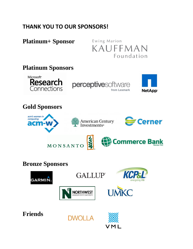# **THANK YOU TO OUR SPONSORS!**

# **Platinum+ Sponsor**

Ewing Marion KAUFFMAN Foundation

# **Platinum Sponsors** Microsoft<sup>®</sup> Research perceptivesoftware Connections **NetApp**<sup>®</sup> **Gold Sponsors** acm's women in computing **S** Cerner American Century<br>Investments® acm-v **Commerce Bank** MONSANTO **Bronze Sponsors GALLUP**® **GARMIN NORTHWEST Friends**

**DWOLLA**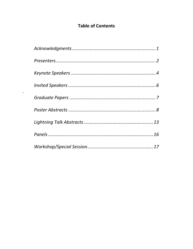## **Table of Contents**

 $\epsilon$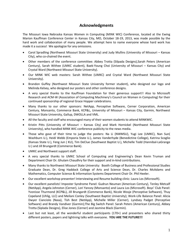#### **Acknowledgments**

The Missouri Iowa Nebraska Kansas Women in Computing (MINK WIC) Conference, located at the Ewing Marion Kauffman Conference Center in Kansas City, MO, October 18-19, 2013, was made possible by the hard work and collaboration of many people. We attempt here to name everyone whose hard work has made it a success! We apologize for any omissions.

- Carol Spradling (Northwest Missouri State University) and Judy Mullins (University of Missouri Kansas City), who co-chaired the event.
- Other members of the conference committee: Abbey Trotta (Silpada Designs),Sarah Peters (American Century), Sarah Withee (UMKC student), Baek-Young Choi (University of Missouri – Kansas City) and Crystal Ward (Northwest Missouri State University).
- Our MINK WIC web masters: Sarah Withee (UMKC) and Crystal Ward (Northwest Missouri State University).
- Brandon Guffey (Northwest Missouri State University former student), who designed our logo and Melinda Kelsey, who designed our posters and other conference designs.
- A very special thanks to the Kauffman Foundation for their generous support!! Also to Microsoft Research and ACM-W (Association of Computing Machinery's Council on Women in Computing) for their continued sponsorship of regional Grace Hopper celebrations.
- Many thanks to our other sponsors: NetApp, Perceptive Software, Cerner Corporation, American Century, Monsanto, Commerce Bank, KCP&L, University of Missouri – Kansas City, Garmin, Northwest Missouri State University, Gallup, DWOLLA and VML.
- All the faculty and staff who encouraged many of their women students to attend MINKWIC.
- Kristin Pitts (University of Missouri Kansas City) and Mark Hornickel (Northwest Missouri State University), who handled MINK WIC conference publicity to the news media.
- Those who gave of their time to judge the posters: Na Li (NWMSU), Yugi Lee (UMKC), Nan Sun( Washburn U.), Heidi Webb (Emporia State U.), James Vanderhyde (Benedictine College), Katrina Scoglio (Kansas State U.), Feng Jun ( KU), Tim DeClue (Southwest Baptist U.), Michelle Todd (Hannibal-LaGrange U.) and Jill Brungardt (Commerce Bank).
- UMKC and Northwest support staff.
- A very special thanks to UMKC School of Computing and Engineering's Dean Kevin Truman and Department Chair Dr. Ghulam Chaudhry for their support and in-kind contributions.
- Many thanks to Northwest Missouri State University: Booth College of Business and Professional Studies Graduate Dean, Dr. Greg Haddock College of Arts and Science Dean, Dr. Charles McAdams and Mathematics, Computer Science & Information Systems Department Chair Dr. Phil Heeler.
- Our excellent workshop presenter! Interviewing and Resume building clinic: Laura Los (Microsoft).
- Our excellent panelists! Imposter Syndrome Panel: Gudrun Neuman (American Century), Tenley Metcalf (NetApp), Angela Johnston (Cerner), Lori Yancey (Monsanto) and Laura Los (Microsoft). Boys' Club Panel: Yvonisse Thurmond (KCP&L), Jill Brungardt (Commerce Bank), Nicole Wosje (Perceptive Software), Thuy Copeland (Uhlig, LLC) and Meilani Conley (Southwest Baptist University); Work-Life Balance Panel: Alicia Dwyer Cianciolo (Nasa), Tish Best (NetApp), Michelle Miller (Cerner), Lyndsey Padget (Perceptive Software) and Brandy Vandiver (Garmin);The Big Switch Panel: Sarah Peters (American Century), Abbey Trotta (Siplada Designs), Elise Jones (Cerner) and Jasmine Black (Garmin).
- Last but not least, all the wonderful student participants (170+) and presenters who shared thirty different posters, papers and lightning talks with everyone. **YOU ARE THE FUTURE!!!**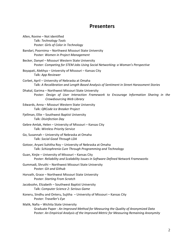## **Presenters**

| Allen, Rovine - Not identified<br>Talk: Technology Tools<br>Poster: Girls of Color in Technology                                                                                                                     |
|----------------------------------------------------------------------------------------------------------------------------------------------------------------------------------------------------------------------|
| Bandari, Poornima - Northwest Missouri State University<br>Poster: Women in Project Management                                                                                                                       |
| Becker, Danyel - Missouri Western State University<br>Poster: Competing for STEM Jobs Using Social Networking: a Woman's Perspective                                                                                 |
| Boyapati, Alekhya - University of Missouri - Kansas City<br>Talk: App Reviewer                                                                                                                                       |
| Corbet, April - University of Nebraska at Omaha<br>Talk: A Recalibration and Length Based Analysis of Sentiment in Street Harassment Stories                                                                         |
| Dhakal, Garima - Northwest Missouri State University<br>Poster: Design of User Interaction Framework to Encourage Information Sharing in the<br>Crowdsourcing Web Library                                            |
| Edwards, Anna - Missouri Western State University<br>Talk: QRCode Ice Breaker Project                                                                                                                                |
| Fjellman, Ellie - Southwest Baptist University<br>Talk: Disinfection Day                                                                                                                                             |
| Gebre-Amlak, Helen - University of Missouri - Kansas City<br>Talk: Wireless Priority Service                                                                                                                         |
| Go, Susannah - University of Nebraska at Omaha<br>Talk: Social Good Through LDA                                                                                                                                      |
| Gotoor, Aryani Suhitha Roy - University of Nebraska at Omaha<br>Talk: Schizophrenia Cure Through Programming and Technology                                                                                          |
| Guan, Xinjie - University of Missouri - Kansas City<br>Poster: Reliability and Scalability Issues in Software Defined Network Frameworks                                                                             |
| Gummadi, Shruthi - Northwest Missouri State University<br>Poster: Git and Github                                                                                                                                     |
| Horvath, Grace - Northwest Missouri State University<br><b>Poster: Starting From Scratch</b>                                                                                                                         |
| Jacobsohn, Elizabeth - Southwest Baptist University<br>Talk: Computer Science 2: Serious Game                                                                                                                        |
| Koneru, Sindhu and Onteru, Sujitha - University of Missouri - Kansas City<br>Poster: Traveller's Eye                                                                                                                 |
| Malik, Nafia - Wichita State University<br>Graduate Paper: An Improved Method for Measuring the Quality of Anonymized Data<br>Poster: An Empirical Analysis of the Improved Metric for Measuring Remaining Anonymity |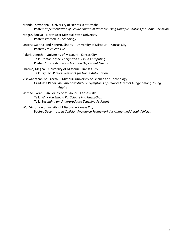- Mandal, Sayonnha University of Nebraska at Omaha Poster: *Implementation of Secure Quantum Protocol Using Multiple Photons for Communication*
- Mogre, Soniya Northwest Missouri State University Poster: *Women in Technology*
- Onteru, Sujitha and Koneru, Sindhu University of Missouri Kansas City Poster: *Traveller's Eye*
- Paluri, Deepthi University of Missouri Kansas City Talk: *Homomorphic Encryption in Cloud Computing* Poster: *Inconsistencies in Location Dependent Queries*
- Sharma, Megha University of Missouri Kansas City Talk: *ZigBee Wireless Network for Home Automation*
- Vishwanathan, SaiPreethi Missouri University of Science and Technology Graduate Paper: *An Empirical Study on Symptoms of Heavier Internet Usage among Young Adults*
- Withee, Sarah University of Missouri Kansas City Talk: *Why You Should Participate in a Hackathon* Talk: *Becoming an Undergraduate Teaching Assistant*
- Wu, Victoria University of Missouri Kansas City Poster: *Decentralized Collision Avoidance Framework for Unmanned Aerial Vehicles*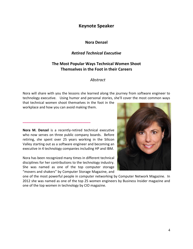### **Keynote Speaker**

#### **Nora Denzel**

#### *Retired Technical Executive*

#### **The Most Popular Ways Technical Women Shoot Themselves in the Foot in their Careers**

#### *Abstract*

Nora will share with you the lessons she learned along the journey from software engineer to technology executive. Using humor and personal stories, she'll cover the most common ways

that technical women shoot themselves in the foot in the workplace and how you can avoid making them.

**\_\_\_\_\_\_\_\_\_\_\_\_\_\_\_\_\_\_\_\_\_\_\_\_\_\_\_\_\_\_\_\_\_\_\_\_**

**Nora M. Denzel** is a recently-retired technical executive who now serves on three public company boards. Before retiring, she spent over 25 years working in the Silicon Valley starting out as a software engineer and becoming an executive in 4 technology companies including HP and IBM.

Nora has been recognized many times in different technical disciplines for her contributions to the technology industry. She was named as one of the top computer storage "movers and shakers" by Computer Storage Magazine, and

one of the most powerful people in computer networking by Computer Network Magazine. In 2012 she was named as one of the top 25 women engineers by Business Insider magazine and one of the top women in technology by CIO magazine.

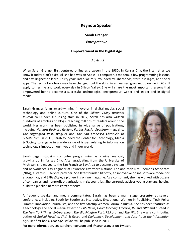#### **Keynote Speaker**

#### **Sarah Granger**

#### *Entrepreneur*

#### **Empowerment in the Digital Age**

#### *Abstract*

When Sarah Granger first ventured online as a tween in the 1980s in Kansas City, the Internet as we know it today didn't exist. All she had was an Apple II+ computer, a modem, a few programming lessons, and a willingness to learn. Thirty years later, we're surrounded by Fiberhoods, startup villages, and social apps. The technology tools may have changed, but the skills Sarah learned growing up online in KC still apply to her life and work every day in Silicon Valley. She will share the most important lessons that empowered her to become a successful technologist, entrepreneur, writer and leader and in digital media.

Sarah Granger is an award-winning innovator in digital media, social technology and online culture. One of the *Silicon Valley Business Journal* "40 Under 40" rising stars in 2012, Sarah has also written hundreds of articles and blogs, reaching millions of readers around the world. Her work has been published in wide range of publications, including *Harvard Business Review*, *Forbes Russia*, *Spectrum* magazine, *The Huffington Post*, *BlogHer* and *The San Francisco Chronicle* at *SFGate.com*. In 2011, Sarah founded the Center for Technology, Media & Society to engage in a wide range of issues relating to information technology's impact on our lives and in our world.

 **\_\_\_\_\_\_\_\_\_\_\_\_\_\_\_\_\_\_\_\_\_\_\_\_\_\_\_\_\_\_\_\_\_\_\_\_\_\_\_\_\_\_\_**

Sarah began studying computer programming as a nine year-old, growing up in Kansas City. After graduating from the University of Michigan, she moved to the San Francisco Bay Area to became a system



and network security engineer at Lawrence Livermore National Lab and then Net Daemons Associates (NDA), a startup IT service provider. She later founded bComfy, an innovative online software model for ergonomics, and SFBayStyle, a pioneering online magazine. As a [consultant,](http://publicedge.com/) she has worked with dozens of companies and nonprofit organizations in six countries. She currently advises young startups, helping build the pipeline of more entrepreneurs.

A frequent speaker and media commentator, Sarah has been a main stage presenter at several conferences, including South by Southwest Interactive, Exceptional Women in Publishing, Tech Policy Summit, Innovation Journalism, and the first Startup Women Forum in Russia. She has been featured as a technology and social media expert on *CBS News*, *Good Morning America*, *RT* and *NPR* and quoted in *The New York Times*, *Entrepreneur*, *The Washington Post*, *PBS.org*, and *The Hill*. She was a contributing author of *Ethical Hacking*, *Shift & Reset*, and *Diplomacy, Development and Security in the Information Age*. Her first book, *Your Life Online*, will be published in 2014.

For more information, see sarahgranger.com and @sarahgranger on Twitter.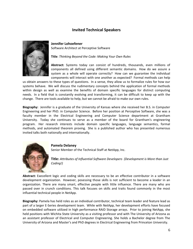#### **Invited Technical Speakers**



#### **Jennifer Lohoefener**

Software Architect at Perceptive Software

**Title**: *Thinking Beyond the Code: Making Your Own Rules*

**Abstract:** Systems today can consist of hundreds, thousands, even millions of components all defined using different semantic domains. How do we assure a system as a whole will operate correctly? How can we guarantee the individual components will interact with one another as expected? Formal methods can help

us obtain answers to these types of questions. In a sense, they allow us to formalize rules for how our systems behave. We will discuss the rudimentary concepts behind the application of formal methods within design as well as examine the benefits of domain specific languages for distinct computing needs. In a field that is constantly evolving and transforming, it can be difficult to keep up with the change. There are tools available to help, but we cannot be afraid to make our own rules.

**Biography:** Jennifer is a graduate of the University of Kansas where she received her B.S. in Computer Engineering and her PhD. in Computer Science. Before her position at Perceptive Software, she was a faculty member in the Electrical Engineering and Computer Science department at Grantham University. Today she continues to serve as a member of the board for Grantham's engineering program. Her research interests include domain specific languages, language semantics, formal methods, and automated theorem proving. She is a published author who has presented numerous invited talks both nationally and internationally.



**Pamela Delaney**

Senior Member of the Technical Staff at NetApp, Inc.

**Title:** *Attributes of Influential Software Developers (Development is More than Just Coding!)*

**Abstract:** Execellent logic and coding skills are necessary to be an effective contributor in a software development organization. However, posessing those skills is not sufficient to become a leader in an organization. There are many smart, effective people with little influence. There are many who are passed over in crunch conditions. This talk focuses on skills and traits found commonly in the most influential technical people in NetApp.

**Biography:** Pamela has held roles as an individual contributor, technical team leader and feature lead as part of a larger E-Series development team. While with NetApp, her development efforts have focused on embedded software utilized in high performance RAID Storage arrays. Prior to joining NetApp, she held positions with Wichita State University as a visiting professor and with The University of Arizona as an assistant professor of Electrical and Computer Engineering. She holds a Bachelor degree from The University of Arizona and Master's and PhD degrees in Electrical Engineering from Princeton University.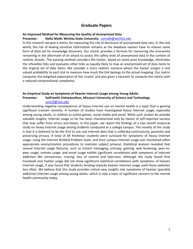#### **Graduate Papers**

#### **An Improved Method for Measuring the Quality of Anonymized Data**

#### **Presenter: Nafia Malik, Wichita State University** [nxmalik@wichita.edu](mailto:nxmalik@wichita.edu)

In this research we give a metric for measuring the risk of disclosure of anonymized data sets. In the real world, the risk of leaking sensitive information remains as the database owners have to release some form of data set for knowledge discovery. Our metric provides a formula for measuring the anonymity remaining in the aftermath of an attack to assess the safety level of anonymized data in the context of realistic attacks. The existing method considers the hacker, based on some prior knowledge, eliminates the infeasible links and evaluates other links as equally likely to map an anonymized set of data items to the original set of data items. We consider a more realistic scenario where the hacker assigns a real valued probability to each link to measure how much the link belongs to the actual mapping. Our metric computes the weighted expectation of the 'cracks' and also gives a heuristic to compute the metric with a reduced computational complexity.

#### **An Empirical Study on Symptoms of Heavier Internet Usage among Young Adults Presenter: SaiPreethi Vishwanathan, Missouri University of Science and Technology**

#### [svmc9@mst.edu](mailto:svmc9@mst.edu)

Understanding negative consequences of heavy Internet use on mental health is a topic that is gaining significant traction recently. A number of studies have investigated heavy Internet usage, especially among young adults, in relation to online games, social media and email. While such studies do provide valuable insights, Internet usage so far has been characterized only by means of self-reported surveys that may suffer from errors and biases. In this paper, we report the findings of a two month empirical study on heavy Internet usage among students conducted at a college campus. The novelty of the study is that it is believed to be the first to use real Internet data that is collected continuously, passively and preserving privacy. A total of 69 freshman students were surveyed for symptoms of heavy Internet usage, using the Internet Related Problem Scale, and their campus Internet usage was monitored (after appropriate anonymization procedures to maintain subject privacy). Statistical analysis revealed that several Internet usage features, such as instant messaging, entropy, gaming, web browsing, peer-topeer usage, remote usage, and email usage exhibit significant correlations with symptoms of Internet addiction like introversion, craving, loss of control and tolerance. Although the study found that Facebook and Twitter usage did not show significant statistical correlations with symptoms of heavier Internet usage, it was found that students tending towards heavier Internet usage used those websites less often. We believe that this study provides critical new insights into symptoms of heavier (possibly addictive) Internet usage among young adults, which is now a topic of significant concern to the mental health community today.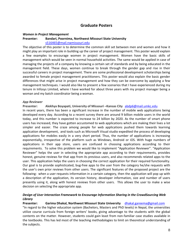#### **Graduate Posters**

#### *Women in Project Management*

#### **Presenter: Bandari, Poornima, Northwest Missouri State University** [s516465@mail.nwmissouri.edu](mailto:s516465@mail.nwmissouri.edu)

The objective of this poster is to determine the common skill set between men and women and how it might play an important role in building up the career of project management. This poster would explain a few examples to encourage women in project management. Women have the basic skills of management which would be seen in normal household activities. The same would be applied in case of managing the projects of a company by knowing a certain set of standards and by being educated in the management field. These days, women continue to break through the gender gap and rise in their successful careers in project management. There are some professional development scholarships being awarded to female project management practitioners. This poster would also explain the basic gender differences that might arise in project management and how they can be overcome by applying a few management techniques. I would also like to present a few scenarios that I have experienced during my tenure in Infosys Limited, where I have worked for about three years with my project manager being a woman and my batch coordinator being a woman.

#### *App Reviewer*

**Presenter: Alekhya Boyapati, University of Missouri –Kansas City** [abdp6@mail.umkc.edu](mailto:abdp6@mail.umkc.edu)

In recent years, there has been a significant increase in the number of mobile web applications being developed every day. According to a recent survey there are around 9 billion mobile users in the world today, and this number is expected to increase to 24 billion by 2020. As the number of smart phone users has increased, they have gotten accustomed to web applications which are making their lives a lot simpler and easier. The craze among people for web applications pushed them towards learning application development, and tools such as Microsoft Visual studio expedited the process of developing applications for mobiles easily in a very short period. Thus, the number of applications is increasing exponentially, irrespective of the platform such as Windows, Android or iOS. With huge numbers of applications in their app store, users are confused in choosing applications according to their requirements. To solve this problem we would like to implement "Application Reviewer". "Application Reviewer" helps the user in selecting the appropriate app according to their requirements, provides honest, genuine reviews for that app from its previous users, and also recommends related apps to the user. This application helps the users in choosing the correct application for their required functionality. Our goal is to provide sophisticated, bug-free apps to the user from the category he/she requests with the user's own prior reviews from other users. The significant features of the proposed project are the following: when a user requests information in a certain category, then the application will pop up with a description of the application, its version history, developer information, size and number of users presently using it, along with honest reviews from other users. This allows the user to make a wise decision on selecting the appropriate app.

#### *Design of User Interaction Framework to Encourage Information Sharing in the CrowdSourcing Web Library*

**Presenter: Garima Dhakal, Northwest Missouri State University** [dhakal.gareema@gmail.com](mailto:dhakal.gareema@gmail.com)

"In regard to the higher education system (Bachelors, Masters and PhD levels) in Nepal, the universities utilize course curricula from foreign writers' books, giving advantage to the students with the global contents on the matter. However, students could gain least from non-familiar case studies available in the textbooks. This has led most of the teaching methodologies to limit on theoretical understanding of the subjects.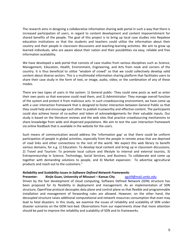The research aims in designing a collaborative information sharing web portal in such a way that there is increased participation of users, in regard to content development and content impoverishment for shared benefits of the people. The goal of this project is to bring up local case studies into Nepalese education institutions so that the students and teachers could utilize the information about their country and their people in classroom discussions and teaching-learning activities. We aim to grow up learned individuals, who are aware about their nation and their possibilities via easy, reliable and free information availability.

We have developed a web portal that consists of case studies from various disciplines such as Science, Management, Education, Health, Environment, Engineering, and Arts from nook and corners of the country. It is thus beneficial to utilize "wisdom of crowd" so that we could collectively develop valid content about diverse sectors. This is a multimodal information sharing platform that facilitates users to share their case study in the form of text, or image, audio, video; or the combination of any of these modes.

There are two types of users in the system: 1) General public- They could view posts as well as enter their own posts so that everyone could read them, and 2) Administrator- They manage overall function of the system and protect it from malicious acts. In such crowdsourcing environment, we have come up with a user interaction framework that is designed to foster interaction between General Public so that they could help and encourage each other to publish trustworthy and effective content. The participants could also achieve honor of co-author and token of acknowledgements for their valuable inputs. Our study is based on the literature reviews and the web sites that practice crowdsourcing mechanisms to share knowledge from wide and dispersed populations. We aim to test the user interaction framework via online feedback that is available in the website for the users.

Such means of communication would address the 'information gap' so that there could be uniform participation of people in global activities, especially from the people in remote areas that are deprived of road links and other connections to the rest of the world. We expect this web library to benefit various domains, for e.g. 1) Education: To develop local content and bring up in classroom discussions, 2) Travel and Tourism: To promote local culture and lifestyle to internal and external tourists, 3) Entrepreneurship in Science, Technology, Social Services, and Business: To collaborate and come up together with demanding solutions to people, and 4) Market expansion: To advertise agricultural products and reach out to the customers."

#### *Reliability and Scalability Issues in Software Defined Network Frameworks*

#### **Presenter: Xinjie Guan, University of Missouri – Kansas City** [xgck9@mail.umkc.edu](mailto:xgck9@mail.umkc.edu)

Driven by the fast development of cloud computing, Software Defined Network (SDN) structure has been proposed for its flexibility in deployment and management. As an implementation of SDN structure, OpenFlow protocol decouples data plane and control plane so that flexible and programmable installation and management of forwarding rules are allowed. However, on the other hand, the decoupled structure raises additional computational and network resources consumption that even may lead to fatal disasters. In this study, we examine the issues of reliability and scalability of SDN under disaster scenarios on the GENI test-bed. Observations from our experiments show that more attention should be paid to improve the reliability and scalability of SDN and its frameworks.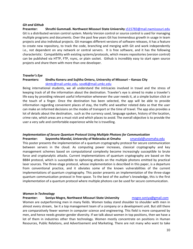#### *Git and Github*

**Presenter: Shruthi Gummadi. Northwest Missouri State University** [s515783@mail.nwmissouri.edu](mailto:s515783@mail.nwmissouri.edu) Git is a distributed version control system. Mainly Version control or source control is used for managing multiple programs and documents. Over the past few years Git has tremendous growth in usage in team projects and also individual projects. Git manages different versions of software releases, it has a feature to create new repository, to track the code, branching and merging with Git and work independently i.e., not dependent on any network or central servers. It is free software, and it has the following characteristic: Compatibility with existing systems/protocols, which means repositories (version control) can be published via HTTP, FTP, rsync, or plain socket. Github is incredibly easy to start open source projects and share them with more than one developer.

#### *Traveler's Eye*

#### **Presenters:** Sindhu Koneru and Sujitha Onteru, University of Missouri – Kansas City [skmtc@mail.umkc.edu,](mailto:skmtc@mail.umkc.edu) [sovd6@mail.umkc.edu](mailto:sovd6@mail.umkc.edu)

Being international students, we all understand the intricacies involved in travel and the stress of keeping track of all the information about the destination. Traveler's eye is aimed to make a traveler's life easy by providing relevant useful information whenever the user needs it, at a simple button click or the touch of a finger. Once the destination has been selected, the app will be able to provide information regarding convenient places of stay, the traffic and weather related data so that the user can make an informed decisions on the modes of transport or the time of travel. The app also provides a lot of details about the destination, such as the currency used, language spoken, history of the location, crime rate, which areas are a must visit and which places to avoid. The overall objective is to provide the user a very safe and comfortable experience while he is travelling.

#### *Implementation of Secure Quantum Protocol Using Multiple Photons for Communication*

**Presenter:** Sayonnha Mandal, University of Nebraska at Omaha [smandal@unomaha.edu](mailto:smandal@unomaha.edu) This poster presents the implementation of a quantum cryptography protocol for secure communication between servers in the cloud. As computing power increases, classical cryptography and key management schemes based on computational complexity become increasingly susceptible to brute force and cryptanalytic attacks. Current implementations of quantum cryptography are based on the BB84 protocol, which is susceptible to siphoning attacks on the multiple photons emitted by practical laser sources. The three-stage protocol, whose implementation is described in this paper, is a departure from conventional practice, and it obviates some of the known vulnerabilities of the current implementations of quantum cryptography. This poster presents an implementation of the three-stage quantum communication protocol in free-space. To the best of the author's knowledge, this is the first implementation of a quantum protocol where multiple photons can be used for secure communication.

#### *Women in Technology*

#### **Presenter: Soniya Mogre, Northwest Missouri State University [mogre.soniya@gmail.com](mailto:mogre.soniya@gmail.com)**

Women are outperforming men in many fields. Women today stand shoulder to shoulder with men in almost every stream, be it a top management team of a company or a development unit. But still there are comparatively fewer women in computer science and engineering. This field is more conquered by men, and hence needs greater gender diversity. If we talk about women in top positions, then we have a lot of them in industries other than technology. Women mostly concentrate on positions in Human Resources, Public Relations, and Advertisement and Marketing. There are not many who want to take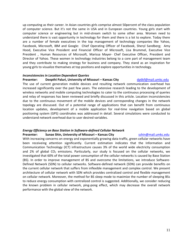up computing as their career. In Asian countries girls comprise almost 50percent of the class population of computer science. But it's not the same in USA and in European countries. Young girls start with computer science or engineering but in mid-stream switch to some other area. Women need to understand there is vast opportunity in technology for them and there is a lot to explore. Today there are a number of female executives in the top management of technology companies like Yahoo, Facebook, Microsoft, IBM and Google: Chief Operating Officer of Facebook, Sheryl Sandberg; Amy Hood, Executive Vice President and Financial Officer of Microsoft, Lisa Brummel, Executive Vice President , Human Resources of Microsoft, Marissa Mayer- Chef Executive Officer, President and Director of Yahoo. These women in technology industries belong to a core part of management team and they contribute to making strategy for business and company. They stand as an inspiration for young girls to visualize themselves at top positions and explore opportunities in technology.

#### *Inconsistencies in Location Dependent Queries*

#### **Presenter: Deepthi Paluri, University of Missouri – Kansas City [dp6kf@mail.umkc.edu](mailto:dp6kf@mail.umkc.edu)**

The use of current generation mobile devices and resulting network communication overhead has increased significantly over the past few years. The extensive research leading to the development of wireless networks and mobile computing technologies to cater to the continuous processing of queries and relay of responses has been reviewed and briefly discussed in this article. Location inconsistencies due to the continuous movement of the mobile devices and corresponding changes in the network topology are discussed. Out of a potential range of applications that can benefit from continuous location updates, development of a mobile application for real-time navigation based on global positioning system (GPS) coordinates was addressed in detail. Several simulations were conducted to understand network overhead due to user desired variables.

#### *Energy Efficiency on Base Station in Software-defined Cellular Network*

#### **Presenter: Sunae Shin, University of Missouri – Kansas City [sshin@mail.umkc.edu](mailto:sshin@mail.umkc.edu)**

With increasing concerns on energy and exponentially growing data traffic, green cellular networks have been receiveing attention significantly. Current estimation indicates that the Information and Communication Technology (ICT) infrastructure causes 3% of the world wide electricity consumption and 2% of global  $CO<sub>2</sub>$  emissions. Particularly, our study is focused on the cellular networks, we investigated that 60% of the total power consumption of the cellular networks is caused by Base Station (BS). In order to improve management of BS and overcome the limitations, we introduce Software-Defined Network (SDN) to cellular networks. Software-defined network (SDN) can provide benefits on the current cellular network that suffers from inflexible management and complex control. We present architecture of cellular network with SDN which provides centralized control and flexible management on cellular network. Moreover, the method for BS sleep mode to maximize the number of sleeping BSs to reduce energy consumption with centralized control is suggested. Additionally, we consider reducing the known problem in cellular network, ping-pong effect, which may decrease the overall network performance with the global view of the network.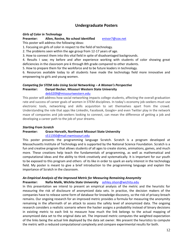#### **Undergraduate Posters**

#### *Girls of Color in Technology*

## **Presenter: Allen, Rovine, No school identified** [enivor7@cox.net](mailto:enivor7@cox.net)

This poster will address the following ideas:

1. Focusing on girls of color in respect to the field of technology.

2. The problems seen within the age group from 12-17 years of age.

3. How to connect them into this vital field in spite of disadvantaged backgrounds.

4. Results I saw; my before and after experience working with students of color showing great deficiencies in the classroom pre-k through 8th grade compared to other students.

5. How to prepare them for the workforce and to be future leaders in technology.

6. Resources available today to all students have made the technology field more innovative and empowering to girls and young women.

#### *Competing for STEM Jobs Using Social Networking – A Woman's Perspective* **Presenter: Danyel Becker**, **Missouri Western State University**

#### [deb3209@missouriwestern.edu](mailto:deb3209@missouriwestern.edu)

This poster will address how social networking impacts college students, affecting the overall graduation rate and success of career goals of women in STEM disciplines. In today's economy job-seekers must use electronic tools, networking and skills acquisition to set themselves apart from the crowd. Understanding the role that apps like LinkedIn, Facebook, Google+ and even Twitter play in the network maze of companies and job-seekers looking to connect, can mean the difference of getting a job and developing a career path to the job of your dreams.

#### *Starting From Scratch*

#### **Presenter: Grace Horvath, Northwest Missouri State University**

#### [s511350@mail.nwmissouri.edu](mailto:s511350@mail.nwmissouri.edu)

This poster presents the programming language Scratch. Scratch is a program developed at Massachusetts Institute of Technology and is supported by the National Science Foundation. Scratch is a fun and creative program that allows students of all ages to create stories, animations, games, and much more. These creations help teach the fundamentals of programming, as well as mathematical and computational ideas and the ability to think creatively and systematically. It is important for our youth to be exposed to this program and others of its like in order to spark an early interest in the technology field. My poster is meant to give a brief introduction to the programming language and explain the importance of Scratch in the classroom.

#### *An Empirical Analysis of the Improved Metric for Measuring Remaining Anonymity*

#### **Presenter: Nafia Malik, Wichita State University** [ashley.olson@wichita.edu](mailto:ashley.olson@wichita.edu)

In this presentation we intend to present an empirical analysis of the metric and the heuristic for measuring the risk of disclosure of anonymized data sets. In practice, the decision makers of the companies have to release some form of database for knowledge discovery, so the risk of privacy breach remains. Our ongoing research for an improved metric provides a formula for measuring the anonymity remaining in the aftermath of an attack to assess the safety level of anonymized data. The ongoing research considers a realistic scenario where the hacker assigns a probability instead of binary decisions in existing metric to each link to measure how much the link belongs to the actual mapping of anonymized data set to the original data set. The improved metric computes the weighted expectation of the links being the actual link deployed by the data set owner. We present the heuristics to compute the metric with a reduced computational complexity and compare experimental results for both.

12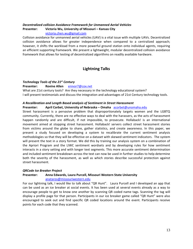### *Decentralized collision Avoidance Framework for Unmanned Aerial Vehicles* **Presenter:** Victoria Wu, University of Missouri – Kansas City

[victoria.chen.wu@gmail.com](mailto:victoria.chen.wu@gmail.com)

Collision avoidance for unmanned aerial vehicles (UAV) is a vital issue with multiple UAVs. Decentralized collision avoidance allows for greater independence when compared to a centralized approach; however, it shifts the workload from a more powerful ground station onto individual agents, requiring an efficient supporting framework. We present a lightweight, modular decentralized collision avoidance framework that allows for testing of decentralized algorithms on readily available hardware.

### **Lightning Talks**

#### *Technology Tools of the 21st Century*

**Presenter: Rovine Allen** [enivor7@cox.net](mailto:enivor7@cox.net)

What are 21st century tools? Are they necessary in the technology educational system? I will present testimonials and discuss the integration and advantages of 21st Century technology tools.

#### *A Recalibration and Length Based analysis of Sentiment in Street Harassment*

#### **Presenter: April Corbet, University of Nebraska – Omaha** [acorbet@unomaha.edu](mailto:acorbet@unomaha.edu)

Street harassment is a pervasive problem that disproportionately targets women and the LGBTQ community. Currently, there are no effective ways to deal with the harassers, as the acts of harassment happen randomly and are difficult, if not impossible, to prosecute. Hollaback! is an international movement aimed at stopping street harassment. Hollaback! servers collect street harassment stories from victims around the globe to share, gather statistics, and create awareness. In this paper, we present a study focused on developing a system to recalibrate the current sentiment analysis methodologies so that they will be effective on a dataset with skewed sentiment indicators. The system will present the text in a story format. We did this by training our analysis system on a combination of the Apriori Program and the LIWC sentiment wordsets and by developing rules for how sentiment interacts in a story setting and with longer text segments. This more accurate sentiment determination and included sentiment breakdown across the text can now be used in further studies to help determine both the severity of the harassment, as well as which stories describe successful protection against street harassment.

#### *QRCode Ice Breaker Project*

#### **Presenter: Anna Edwards, Laura Purcell, Missouri Western State University** [anataros@missouriwestern.edu](mailto:anataros@missouriwestern.edu)

For our lightning talk, I would like to talk about "QR Hunt". Laura Purcell and I developed an app that can be used as an ice breaker at social events. It has been used at several events already as a way to encourage people to get to know one another by scanning QR coded name tags. Scanning the tag will display a profile page for that person. Participants in our ice breaker game called "QR Hunt" were also encouraged to seek out and find specific QR coded locations around the event. Participants receive points for each code that they scanned.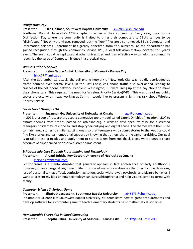#### *Disinfection Day*

#### **Presenter: Ellie Fjellman, Southwest Baptist University** [s622883@sbuniv.edu](mailto:s622883@sbuniv.edu)

Southwest Baptist University's ACM chapter is active in their community. Every year, they host a Disinfection Day where the community is invited to bring their computers to SBU's campus to be "disinfected." Not only are viruses removed, but the "junk" files are also removed. SBU's Computer and Information Sciences Department has greatly benefited from this outreach, as the department has gained recognition through the community service. KY3, a local television station, covered this year's event. The event could be replicated at other universities and is an effective way to help the community recognize the value of Computer Science in a practical way.

#### *Wireless Priority Service*

#### **Presenter: Helen Gebre-Amlak, University of Missouri – Kansas City**

#### [hhgc77@umkc.edu](mailto:hhgc77@umkc.edu)

After the September 11 attack, the cell phone network of New York City was rapidly overloaded as traffic doubled over normal levels. In the East Coast, cell phone traffic also overloaded, leading to crashes of the cell phone network. People in Washington, DC were lining up at the pay phone to make their phone calls. This required the need for Wireless Priority Service(WPS). This was one of my public sector projects when I was working at Sprint. I would like to present a lightning talk about Wireless Priority Service.

#### *Social Good Through LDA*

#### **Presenter:** Susannah Go, University of Nebraska at Omaha [sgo@unomaha.edu](mailto:sgo@unomaha.edu)

In 2012, a group of researchers used a generative topic model called Latent Dirichlet Allocation (LDA) to extract themes from stories posted on athinline.org, a website developed by MTV for distressed teenagers, to identify, respond to, and stop cyber-bullying and digital abuse. The themes were then used to match new stories to similar existing ones, so that teenagers who submit stories to the website could find like stories and gain emotional support by knowing that others share the same hardships. Our goal is to take these principles and apply them to stories taken from Hollaback blogs, where people share accounts of experienced or observed street harassment.

#### *Schizophrenia Cure Through Programming and Technology* **Presenter: Aryani Suhitha Roy Gotoor, University of Nebraska at Omaha**

#### [g.aryaniroy@gmail.com](mailto:g.aryaniroy@gmail.com)

Schizophrenia is a mental disorder that generally appears in late adolescence or early adulthood however, it can emerge at any time in life. It is one of many brain diseases that may include delusions, loss of personality (flat affect), confusion, agitation, social withdrawal, psychosis, and bizarre behavior. I want to present my idea on how technology can cure schizophrenia and help victims come to terms with reality.

#### *Computer Science 2: Serious Game*

**Presenter: Elizabeth Jacobsohn, Southwest Baptist University** [s645473@sbuniv.edu](mailto:s645473@sbuniv.edu) In Computer Science II at Southwest Baptist University, students learn how to gather requirements and develop software for a computer game to teach elementary students basic mathematical principles.

*Homomorphic Encryption in Cloud Computing* **Presenter: Deepthi Paluri, University of Missouri – Kansas City** [dp6kf@mail.umkc.edu](mailto:dp6kf@mail.umkc.edu)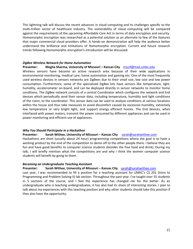This lightning talk will discuss the recent advances in cloud computing and its challenges specific to the multi-trillion sector of healthcare industry. The vulnerability of cloud computing will be compared against the requirements of the upcoming Affordable Care Act in terms of data encryption and security. Homomorphic encryption was researched as a potential solution as an alternate to few of the features that major commercial cloud providers offer. A hands-on demonstration will help the audience better understand the brilliance and limitations of Homomorphic encryption. Current and future research trends following Homomorphic encryption's introduction will be discussed.

#### *ZigBee Wireless Network for Home Automation*

#### **Presenter: Megha Sharma, University of Missouri – Kansas City** [mszzf@mail.umkc.edu](mailto:mszzf@mail.umkc.edu)

Wireless sensors have become an active research area because of their wide applications in environmental monitoring, medical care, home automation and gaming etc. One of the most frequently used wireless devices in sensors networks are ZigBees due to their small size, low cost and low power consumption. Furthermore, some of the specialized ZigBee kits have sensors like temperature, light, humidity, accelerometer on-board, and can be deployed directly in sensor networks to monitor home conditions. The ZigBee network consists of a central Coordinator which configures the network and End devices which periodically send their sensor data, including temperature, humidity and light conditions of the room, to the coordinator. This sensor data can be used to analyze conditions at various locations within the house and thus take measures to avoid discomfort caused by excessive humidity, extremely low temperature or very bright light, and support energy efficient homes. The End devices, when interfaced with power meters, transmit the power consumed by different appliances and can be used in power monitoring and efficient use of appliances.

#### *Why You Should Participate in a Hackathon*

#### **Presenter:** Sarah Withee, University of Missouri – Kansas City [sarah@sarahwithee.com](mailto:sarah@sarahwithee.com)

Hackathons are short (usually about 24 hour) programming competitions where the goal is to have a working product by the end of the competition to demo off to the other people there. I believe they are fun and have good benefits to computer science students (besides the free food and drink). During my talk, I will briefly mention what the competitions are and why I think the women computer science students will benefit by going to them.

#### *Becoming an Undergraduate Teaching Assistant*

#### **Presenter:** Sarah Withee, University of Missouri – Kansas City [sarah@sarahwithee.com](mailto:sarah@sarahwithee.com)

Last year, I was recommended to fill a position for a teaching assistant for UMKC's CS 201 (Intro to Programming and Problem Solving II) lab section. Throughout the past year, I've taught over 55 students in 5 sections of the course, and I feel the experience has changed me for the better. As an undergraduate who is teaching undergraduates, it has also had its share of interesting stories. I plan to talk about my experiences with this teaching position and why other students should take this position if they also have the opportunity.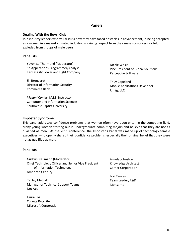#### **Panels**

#### **Dealing With the Boys' Club**

Join industry leaders who will discuss how they have faced obstacles in advancement, in being accepted as a woman in a male-dominated industry, in gaining respect from their male co-workers, or felt excluded from groups of male peers.

#### **Panelists**

Yuvonise Thurmond (Moderator) Sr. Applications Programmer/Analyst Kansas City Power and Light Company

Jill Brungardt Director of Information Security Commerce Bank

*Meilani Conley*, M.I.S, Instructor Computer and Information Sciences Southwest Baptist University

Nicole Wosje Vice President of Global Solutions Perceptive Software

Thuy Copeland Mobile Applications Developer Uhlig, LLC

#### **Imposter Syndrome**

This panel addresses confidence problems that women often have upon entering the computing field. Many young women starting out in undergraduate computing majors and believe that they are not as qualified as men. At the 2011 conference, the Imposter's Panel was made up of technology female executives, who openly shared their confidence problems, especially their original belief that they were not as qualified as men.

#### **Panelists**

Gudrun Neumann (Moderator) Chief Technology Officer and Senior Vice President of Information Technology American Century

Tenley Metcalf Manager of Technical Support Teams Net App

Laura Los College Recruiter Microsoft Corporation Angela Johnston Knowledge Architect Cerner Corporation

Lori Yancey Team Leader, R&D Monsanto